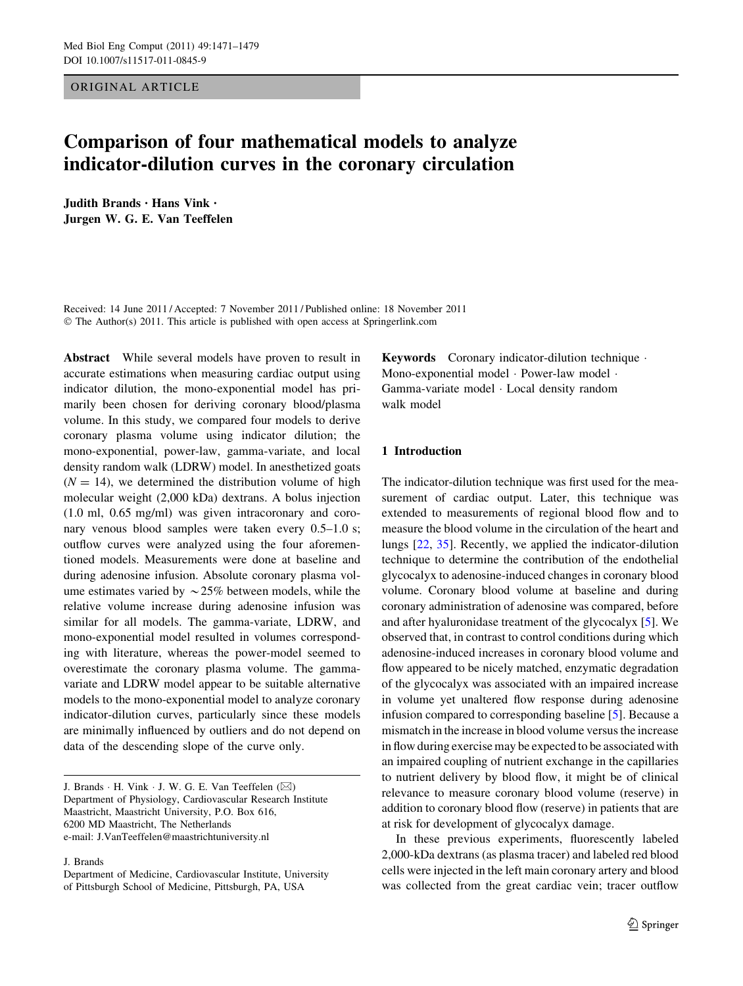ORIGINAL ARTICLE

# Comparison of four mathematical models to analyze indicator-dilution curves in the coronary circulation

Judith Brands • Hans Vink • Jurgen W. G. E. Van Teeffelen

Received: 14 June 2011 / Accepted: 7 November 2011 / Published online: 18 November 2011 © The Author(s) 2011. This article is published with open access at Springerlink.com

Abstract While several models have proven to result in accurate estimations when measuring cardiac output using indicator dilution, the mono-exponential model has primarily been chosen for deriving coronary blood/plasma volume. In this study, we compared four models to derive coronary plasma volume using indicator dilution; the mono-exponential, power-law, gamma-variate, and local density random walk (LDRW) model. In anesthetized goats  $(N = 14)$ , we determined the distribution volume of high molecular weight (2,000 kDa) dextrans. A bolus injection (1.0 ml, 0.65 mg/ml) was given intracoronary and coronary venous blood samples were taken every 0.5–1.0 s; outflow curves were analyzed using the four aforementioned models. Measurements were done at baseline and during adenosine infusion. Absolute coronary plasma volume estimates varied by  $\sim$  25% between models, while the relative volume increase during adenosine infusion was similar for all models. The gamma-variate, LDRW, and mono-exponential model resulted in volumes corresponding with literature, whereas the power-model seemed to overestimate the coronary plasma volume. The gammavariate and LDRW model appear to be suitable alternative models to the mono-exponential model to analyze coronary indicator-dilution curves, particularly since these models are minimally influenced by outliers and do not depend on data of the descending slope of the curve only.

J. Brands  $\cdot$  H. Vink  $\cdot$  J. W. G. E. Van Teeffelen ( $\boxtimes$ ) Department of Physiology, Cardiovascular Research Institute Maastricht, Maastricht University, P.O. Box 616, 6200 MD Maastricht, The Netherlands e-mail: J.VanTeeffelen@maastrichtuniversity.nl

J. Brands

Department of Medicine, Cardiovascular Institute, University of Pittsburgh School of Medicine, Pittsburgh, PA, USA

Keywords Coronary indicator-dilution technique - Mono-exponential model · Power-law model · Gamma-variate model - Local density random walk model

# 1 Introduction

The indicator-dilution technique was first used for the measurement of cardiac output. Later, this technique was extended to measurements of regional blood flow and to measure the blood volume in the circulation of the heart and lungs [\[22](#page-8-0), [35](#page-8-0)]. Recently, we applied the indicator-dilution technique to determine the contribution of the endothelial glycocalyx to adenosine-induced changes in coronary blood volume. Coronary blood volume at baseline and during coronary administration of adenosine was compared, before and after hyaluronidase treatment of the glycocalyx [\[5](#page-7-0)]. We observed that, in contrast to control conditions during which adenosine-induced increases in coronary blood volume and flow appeared to be nicely matched, enzymatic degradation of the glycocalyx was associated with an impaired increase in volume yet unaltered flow response during adenosine infusion compared to corresponding baseline [[5](#page-7-0)]. Because a mismatch in the increase in blood volume versus the increase in flow during exercise may be expected to be associated with an impaired coupling of nutrient exchange in the capillaries to nutrient delivery by blood flow, it might be of clinical relevance to measure coronary blood volume (reserve) in addition to coronary blood flow (reserve) in patients that are at risk for development of glycocalyx damage.

In these previous experiments, fluorescently labeled 2,000-kDa dextrans (as plasma tracer) and labeled red blood cells were injected in the left main coronary artery and blood was collected from the great cardiac vein; tracer outflow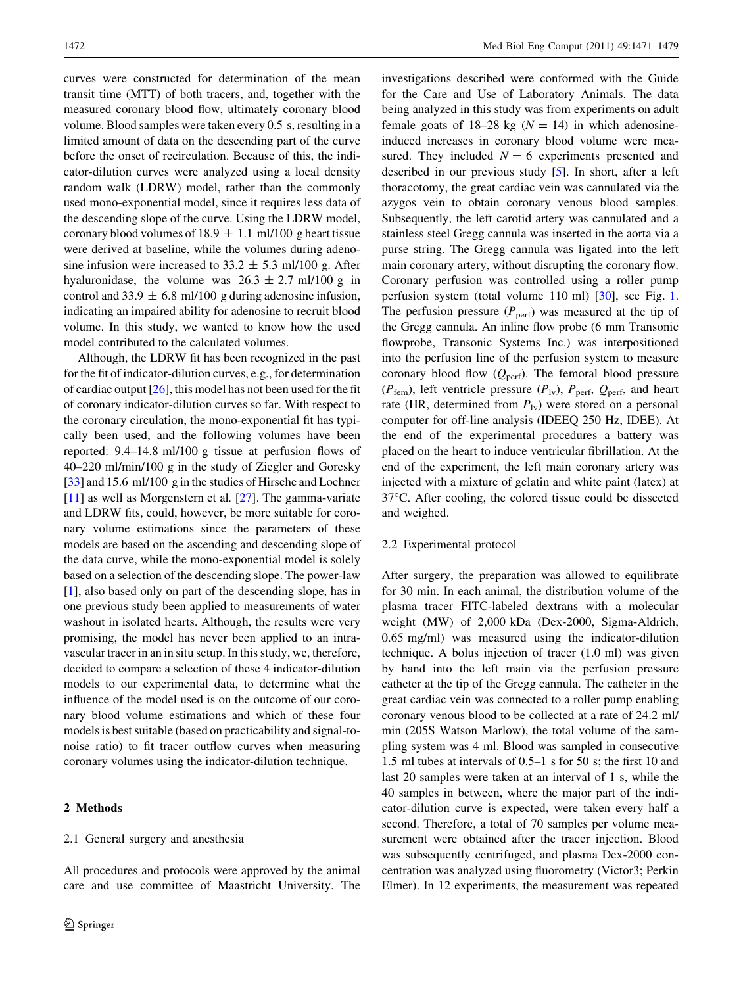curves were constructed for determination of the mean transit time (MTT) of both tracers, and, together with the measured coronary blood flow, ultimately coronary blood volume. Blood samples were taken every 0.5 s, resulting in a limited amount of data on the descending part of the curve before the onset of recirculation. Because of this, the indicator-dilution curves were analyzed using a local density random walk (LDRW) model, rather than the commonly used mono-exponential model, since it requires less data of the descending slope of the curve. Using the LDRW model, coronary blood volumes of 18.9  $\pm$  1.1 ml/100 g heart tissue were derived at baseline, while the volumes during adenosine infusion were increased to  $33.2 \pm 5.3$  ml/100 g. After hyaluronidase, the volume was  $26.3 \pm 2.7$  ml/100 g in control and 33.9  $\pm$  6.8 ml/100 g during adenosine infusion, indicating an impaired ability for adenosine to recruit blood volume. In this study, we wanted to know how the used model contributed to the calculated volumes.

Although, the LDRW fit has been recognized in the past for the fit of indicator-dilution curves, e.g., for determination of cardiac output  $[26]$  $[26]$  $[26]$ , this model has not been used for the fit of coronary indicator-dilution curves so far. With respect to the coronary circulation, the mono-exponential fit has typically been used, and the following volumes have been reported: 9.4–14.8 ml/100 g tissue at perfusion flows of 40–220 ml/min/100 g in the study of Ziegler and Goresky [\[33](#page-8-0)] and 15.6 ml/100 g in the studies of Hirsche and Lochner [\[11](#page-8-0)] as well as Morgenstern et al. [\[27](#page-8-0)]. The gamma-variate and LDRW fits, could, however, be more suitable for coronary volume estimations since the parameters of these models are based on the ascending and descending slope of the data curve, while the mono-exponential model is solely based on a selection of the descending slope. The power-law [\[1](#page-7-0)], also based only on part of the descending slope, has in one previous study been applied to measurements of water washout in isolated hearts. Although, the results were very promising, the model has never been applied to an intravascular tracer in an in situ setup. In this study, we, therefore, decided to compare a selection of these 4 indicator-dilution models to our experimental data, to determine what the influence of the model used is on the outcome of our coronary blood volume estimations and which of these four models is best suitable (based on practicability and signal-tonoise ratio) to fit tracer outflow curves when measuring coronary volumes using the indicator-dilution technique.

## 2 Methods

## 2.1 General surgery and anesthesia

All procedures and protocols were approved by the animal care and use committee of Maastricht University. The investigations described were conformed with the Guide for the Care and Use of Laboratory Animals. The data being analyzed in this study was from experiments on adult female goats of 18–28 kg ( $N = 14$ ) in which adenosineinduced increases in coronary blood volume were measured. They included  $N = 6$  experiments presented and described in our previous study [[5\]](#page-7-0). In short, after a left thoracotomy, the great cardiac vein was cannulated via the azygos vein to obtain coronary venous blood samples. Subsequently, the left carotid artery was cannulated and a stainless steel Gregg cannula was inserted in the aorta via a purse string. The Gregg cannula was ligated into the left main coronary artery, without disrupting the coronary flow. Coronary perfusion was controlled using a roller pump perfusion system (total volume 110 ml) [\[30](#page-8-0)], see Fig. [1.](#page-2-0) The perfusion pressure  $(P_{\text{perf}})$  was measured at the tip of the Gregg cannula. An inline flow probe (6 mm Transonic flowprobe, Transonic Systems Inc.) was interpositioned into the perfusion line of the perfusion system to measure coronary blood flow  $(Q<sub>perf</sub>)$ . The femoral blood pressure  $(P_{\text{fem}})$ , left ventricle pressure  $(P_{\text{IV}})$ ,  $P_{\text{perf}}$ ,  $Q_{\text{perf}}$ , and heart rate (HR, determined from  $P_{1v}$ ) were stored on a personal computer for off-line analysis (IDEEQ 250 Hz, IDEE). At the end of the experimental procedures a battery was placed on the heart to induce ventricular fibrillation. At the end of the experiment, the left main coronary artery was injected with a mixture of gelatin and white paint (latex) at 37°C. After cooling, the colored tissue could be dissected and weighed.

### 2.2 Experimental protocol

After surgery, the preparation was allowed to equilibrate for 30 min. In each animal, the distribution volume of the plasma tracer FITC-labeled dextrans with a molecular weight (MW) of 2,000 kDa (Dex-2000, Sigma-Aldrich, 0.65 mg/ml) was measured using the indicator-dilution technique. A bolus injection of tracer (1.0 ml) was given by hand into the left main via the perfusion pressure catheter at the tip of the Gregg cannula. The catheter in the great cardiac vein was connected to a roller pump enabling coronary venous blood to be collected at a rate of 24.2 ml/ min (205S Watson Marlow), the total volume of the sampling system was 4 ml. Blood was sampled in consecutive 1.5 ml tubes at intervals of 0.5–1 s for 50 s; the first 10 and last 20 samples were taken at an interval of 1 s, while the 40 samples in between, where the major part of the indicator-dilution curve is expected, were taken every half a second. Therefore, a total of 70 samples per volume measurement were obtained after the tracer injection. Blood was subsequently centrifuged, and plasma Dex-2000 concentration was analyzed using fluorometry (Victor3; Perkin Elmer). In 12 experiments, the measurement was repeated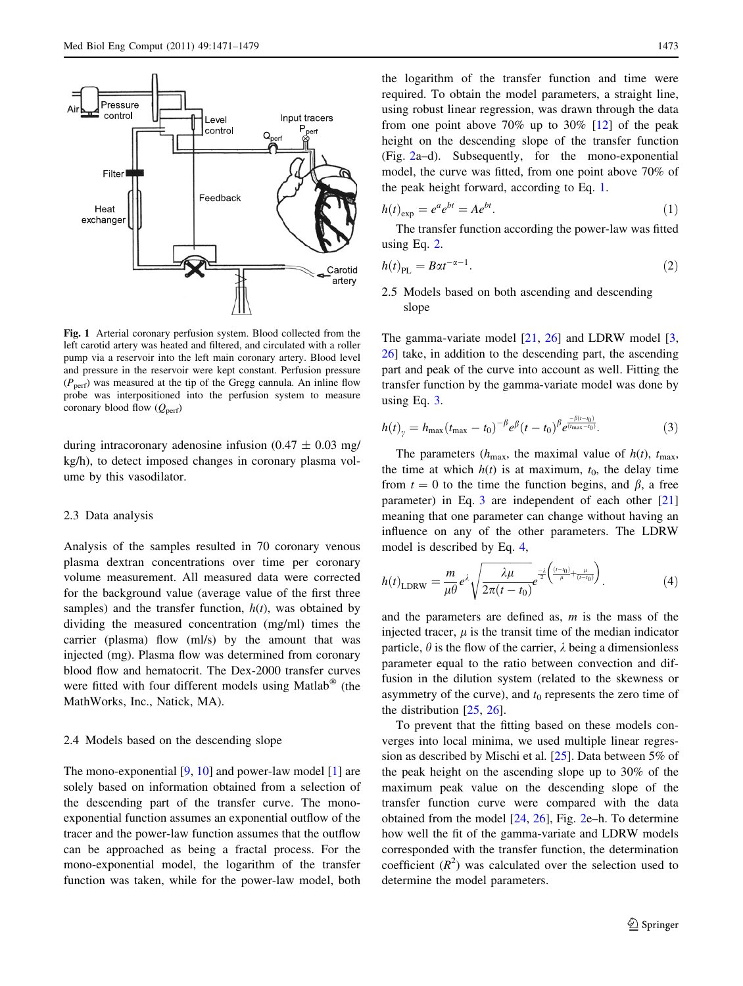<span id="page-2-0"></span>

Fig. 1 Arterial coronary perfusion system. Blood collected from the left carotid artery was heated and filtered, and circulated with a roller pump via a reservoir into the left main coronary artery. Blood level and pressure in the reservoir were kept constant. Perfusion pressure  $(P_{\text{perf}})$  was measured at the tip of the Gregg cannula. An inline flow probe was interpositioned into the perfusion system to measure coronary blood flow  $(Q_{\text{perf}})$ 

during intracoronary adenosine infusion ( $0.47 \pm 0.03$  mg/ kg/h), to detect imposed changes in coronary plasma volume by this vasodilator.

## 2.3 Data analysis

Analysis of the samples resulted in 70 coronary venous plasma dextran concentrations over time per coronary volume measurement. All measured data were corrected for the background value (average value of the first three samples) and the transfer function,  $h(t)$ , was obtained by dividing the measured concentration (mg/ml) times the carrier (plasma) flow (ml/s) by the amount that was injected (mg). Plasma flow was determined from coronary blood flow and hematocrit. The Dex-2000 transfer curves were fitted with four different models using Matlab<sup>®</sup> (the MathWorks, Inc., Natick, MA).

#### 2.4 Models based on the descending slope

The mono-exponential [[9,](#page-8-0) [10\]](#page-8-0) and power-law model [\[1](#page-7-0)] are solely based on information obtained from a selection of the descending part of the transfer curve. The monoexponential function assumes an exponential outflow of the tracer and the power-law function assumes that the outflow can be approached as being a fractal process. For the mono-exponential model, the logarithm of the transfer function was taken, while for the power-law model, both

the logarithm of the transfer function and time were required. To obtain the model parameters, a straight line, using robust linear regression, was drawn through the data from one point above 70% up to 30% [\[12](#page-8-0)] of the peak height on the descending slope of the transfer function (Fig. [2a](#page-3-0)–d). Subsequently, for the mono-exponential model, the curve was fitted, from one point above 70% of the peak height forward, according to Eq. 1.

$$
h(t)_{\exp} = e^a e^{bt} = A e^{bt}.\tag{1}
$$

The transfer function according the power-law was fitted using Eq. 2.

$$
h(t)_{\rm PL} = B\alpha t^{-\alpha - 1}.\tag{2}
$$

2.5 Models based on both ascending and descending slope

The gamma-variate model  $[21, 26]$  $[21, 26]$  $[21, 26]$  $[21, 26]$  and LDRW model  $[3, 26]$  $[3, 26]$  $[3, 26]$ [26](#page-8-0)] take, in addition to the descending part, the ascending part and peak of the curve into account as well. Fitting the transfer function by the gamma-variate model was done by using Eq. 3.

$$
h(t)_{\gamma} = h_{\max}(t_{\max} - t_0)^{-\beta} e^{\beta} (t - t_0)^{\beta} e^{\frac{-\beta(t - t_0)}{(t_{\max} - t_0)}}.
$$
 (3)

The parameters ( $h_{\text{max}}$ , the maximal value of  $h(t)$ ,  $t_{\text{max}}$ , the time at which  $h(t)$  is at maximum,  $t_0$ , the delay time from  $t = 0$  to the time the function begins, and  $\beta$ , a free parameter) in Eq. 3 are independent of each other [[21\]](#page-8-0) meaning that one parameter can change without having an influence on any of the other parameters. The LDRW model is described by Eq. 4,

$$
h(t)_{\text{LDRW}} = \frac{m}{\mu \theta} e^{\lambda} \sqrt{\frac{\lambda \mu}{2\pi (t - t_0)}} e^{-\frac{\lambda}{2} \left(\frac{(t - t_0)}{\mu} + \frac{\mu}{(t - t_0)}\right)}.
$$
(4)

and the parameters are defined as,  $m$  is the mass of the injected tracer,  $\mu$  is the transit time of the median indicator particle,  $\theta$  is the flow of the carrier,  $\lambda$  being a dimensionless parameter equal to the ratio between convection and diffusion in the dilution system (related to the skewness or asymmetry of the curve), and  $t_0$  represents the zero time of the distribution [[25,](#page-8-0) [26](#page-8-0)].

To prevent that the fitting based on these models converges into local minima, we used multiple linear regression as described by Mischi et al. [[25\]](#page-8-0). Data between 5% of the peak height on the ascending slope up to 30% of the maximum peak value on the descending slope of the transfer function curve were compared with the data obtained from the model [\[24](#page-8-0), [26\]](#page-8-0), Fig. [2](#page-3-0)e–h. To determine how well the fit of the gamma-variate and LDRW models corresponded with the transfer function, the determination coefficient  $(R^2)$  was calculated over the selection used to determine the model parameters.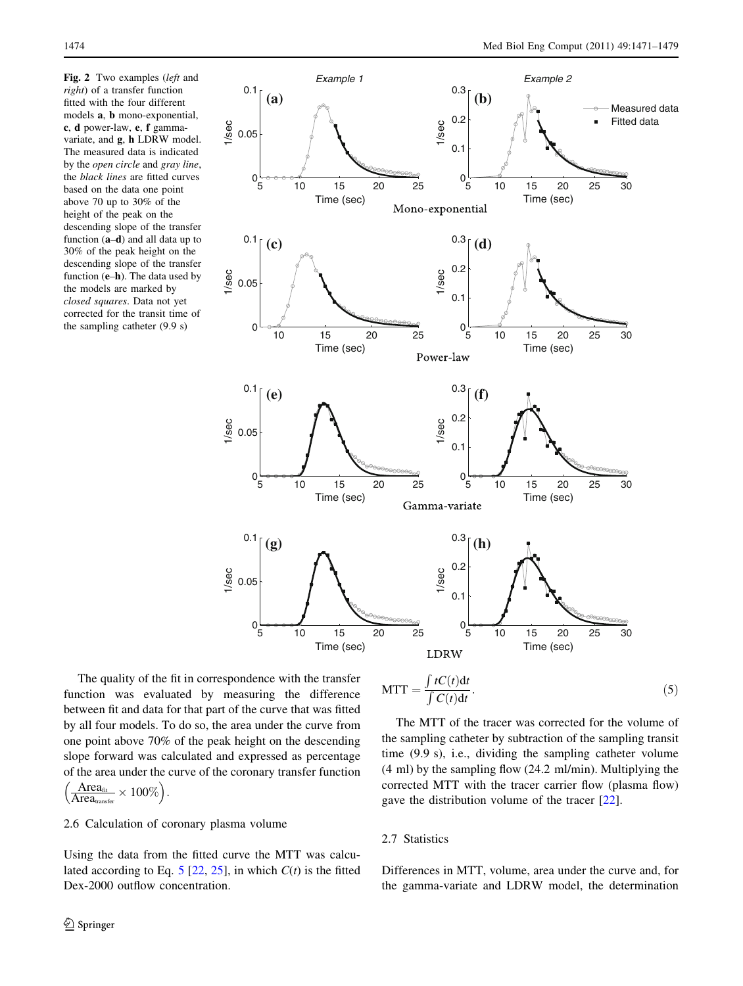<span id="page-3-0"></span>Fig. 2 Two examples (left and right) of a transfer function fitted with the four different models a, b mono-exponential, c, d power-law, e, f gammavariate, and g, h LDRW model. The measured data is indicated by the open circle and gray line, the black lines are fitted curves based on the data one point above 70 up to 30% of the height of the peak on the descending slope of the transfer function  $(a-d)$  and all data up to 30% of the peak height on the descending slope of the transfer function  $(e-h)$ . The data used by the models are marked by closed squares. Data not yet corrected for the transit time of the sampling catheter (9.9 s)



The quality of the fit in correspondence with the transfer function was evaluated by measuring the difference between fit and data for that part of the curve that was fitted by all four models. To do so, the area under the curve from one point above 70% of the peak height on the descending slope forward was calculated and expressed as percentage of the area under the curve of the coronary transfer function Area<sub>fit</sub>  $\left(\frac{\text{Area}_{\text{fit}}}{\Delta \text{ real}} \times 100\% \right).$ 

$$
\left(\frac{\text{Area}_{\text{fit}}}{\text{Area}_{\text{transfer}}} \times 100\%\right)
$$

## 2.6 Calculation of coronary plasma volume

Using the data from the fitted curve the MTT was calcu-lated according to Eq. 5 [[22,](#page-8-0) [25](#page-8-0)], in which  $C(t)$  is the fitted Dex-2000 outflow concentration.

$$
MTT = \frac{\int tC(t)dt}{\int C(t)dt}.
$$
\n(5)

The MTT of the tracer was corrected for the volume of the sampling catheter by subtraction of the sampling transit time (9.9 s), i.e., dividing the sampling catheter volume (4 ml) by the sampling flow (24.2 ml/min). Multiplying the corrected MTT with the tracer carrier flow (plasma flow) gave the distribution volume of the tracer [[22\]](#page-8-0).

## 2.7 Statistics

Differences in MTT, volume, area under the curve and, for the gamma-variate and LDRW model, the determination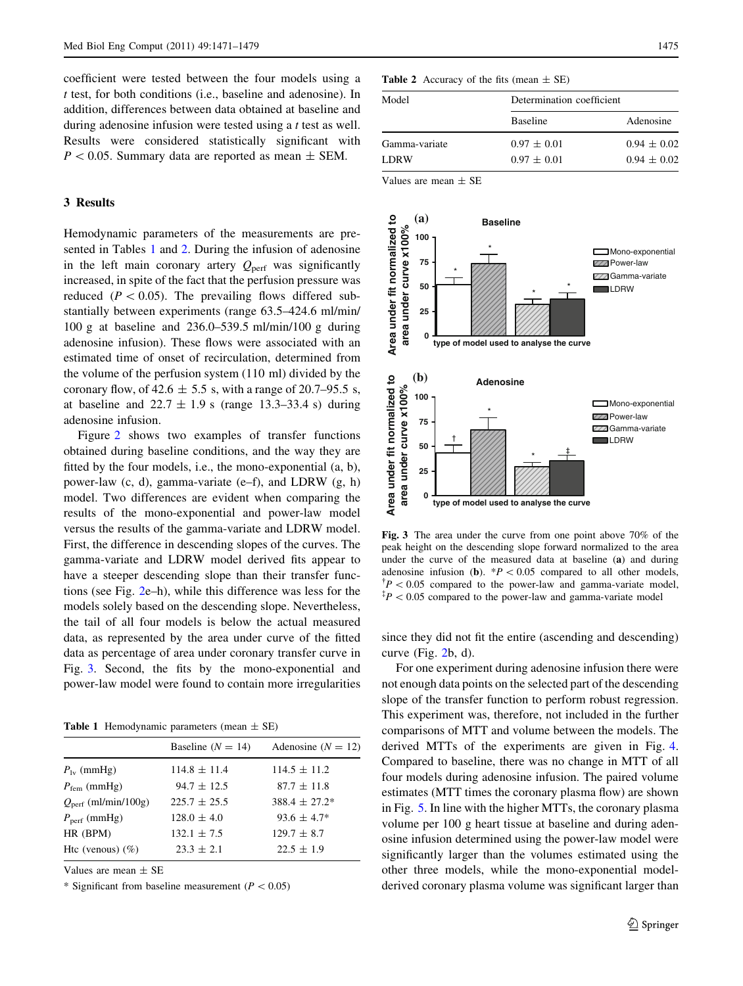<span id="page-4-0"></span>coefficient were tested between the four models using a t test, for both conditions (i.e., baseline and adenosine). In addition, differences between data obtained at baseline and during adenosine infusion were tested using a t test as well. Results were considered statistically significant with  $P < 0.05$ . Summary data are reported as mean  $\pm$  SEM.

# 3 Results

Hemodynamic parameters of the measurements are presented in Tables 1 and 2. During the infusion of adenosine in the left main coronary artery  $Q_{\text{perf}}$  was significantly increased, in spite of the fact that the perfusion pressure was reduced ( $P \lt 0.05$ ). The prevailing flows differed substantially between experiments (range 63.5–424.6 ml/min/ 100 g at baseline and 236.0–539.5 ml/min/100 g during adenosine infusion). These flows were associated with an estimated time of onset of recirculation, determined from the volume of the perfusion system (110 ml) divided by the coronary flow, of 42.6  $\pm$  5.5 s, with a range of 20.7–95.5 s, at baseline and  $22.7 \pm 1.9$  s (range 13.3–33.4 s) during adenosine infusion.

Figure [2](#page-3-0) shows two examples of transfer functions obtained during baseline conditions, and the way they are fitted by the four models, i.e., the mono-exponential (a, b), power-law (c, d), gamma-variate (e–f), and LDRW (g, h) model. Two differences are evident when comparing the results of the mono-exponential and power-law model versus the results of the gamma-variate and LDRW model. First, the difference in descending slopes of the curves. The gamma-variate and LDRW model derived fits appear to have a steeper descending slope than their transfer functions (see Fig. [2e](#page-3-0)–h), while this difference was less for the models solely based on the descending slope. Nevertheless, the tail of all four models is below the actual measured data, as represented by the area under curve of the fitted data as percentage of area under coronary transfer curve in Fig. 3. Second, the fits by the mono-exponential and power-law model were found to contain more irregularities

**Table 1** Hemodynamic parameters (mean  $\pm$  SE)

|                                           | Baseline $(N = 14)$ | Adenosine $(N = 12)$ |
|-------------------------------------------|---------------------|----------------------|
| $P_{1v}$ (mmHg)                           | $114.8 \pm 11.4$    | $114.5 \pm 11.2$     |
| $P_{\text{fem}}$ (mmHg)                   | $94.7 \pm 12.5$     | $87.7 \pm 11.8$      |
| $Q_{\text{perf}}$ (ml/min/100g)           | $225.7 \pm 25.5$    | $388.4 \pm 27.2^*$   |
| $P_{\text{perf}}\left(\text{mmHg}\right)$ | $128.0 \pm 4.0$     | $93.6 \pm 4.7*$      |
| HR (BPM)                                  | $132.1 \pm 7.5$     | $129.7 \pm 8.7$      |
| Htc (venous) $(\%)$                       | $23.3 \pm 2.1$      | $22.5 \pm 1.9$       |
|                                           |                     |                      |

Values are mean ± SE

\* Significant from baseline measurement ( $P < 0.05$ )

## **Table 2** Accuracy of the fits (mean  $\pm$  SE)

| Model         | Determination coefficient |                 |
|---------------|---------------------------|-----------------|
|               | <b>Baseline</b>           | Adenosine       |
| Gamma-variate | $0.97 \pm 0.01$           | $0.94 \pm 0.02$ |
| <b>LDRW</b>   | $0.97 \pm 0.01$           | $0.94 \pm 0.02$ |

Values are mean  $\pm$  SE



Fig. 3 The area under the curve from one point above 70% of the peak height on the descending slope forward normalized to the area under the curve of the measured data at baseline (a) and during adenosine infusion (b).  $*P < 0.05$  compared to all other models,  $\Delta t$ <sup>+</sup> $P$  < 0.05 compared to the power-law and gamma-variate model,  $p^*P < 0.05$  compared to the power-law and gamma-variate model

since they did not fit the entire (ascending and descending) curve (Fig. [2](#page-3-0)b, d).

For one experiment during adenosine infusion there were not enough data points on the selected part of the descending slope of the transfer function to perform robust regression. This experiment was, therefore, not included in the further comparisons of MTT and volume between the models. The derived MTTs of the experiments are given in Fig. [4.](#page-5-0) Compared to baseline, there was no change in MTT of all four models during adenosine infusion. The paired volume estimates (MTT times the coronary plasma flow) are shown in Fig. [5](#page-5-0). In line with the higher MTTs, the coronary plasma volume per 100 g heart tissue at baseline and during adenosine infusion determined using the power-law model were significantly larger than the volumes estimated using the other three models, while the mono-exponential modelderived coronary plasma volume was significant larger than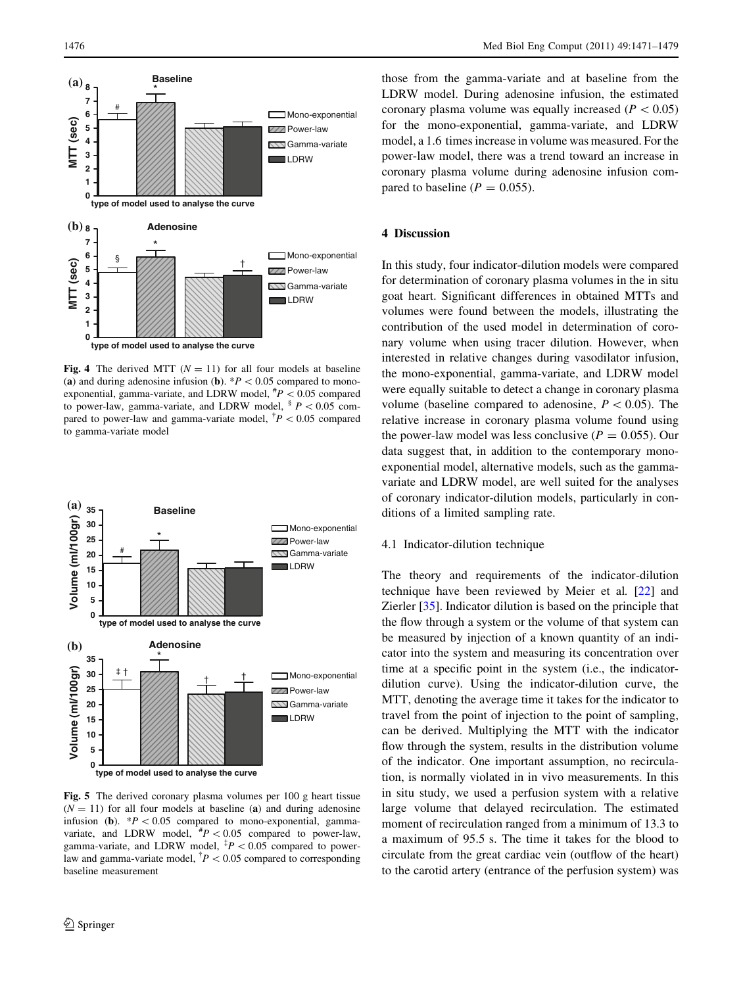<span id="page-5-0"></span>

Fig. 4 The derived MTT ( $N = 11$ ) for all four models at baseline (a) and during adenosine infusion (b).  $*P < 0.05$  compared to monoexponential, gamma-variate, and LDRW model,  $^{#}P$  < 0.05 compared to power-law, gamma-variate, and LDRW model,  $\frac{1}{2} P < 0.05$  compared to power-law and gamma-variate model,  $^{\dagger}P$  < 0.05 compared to gamma-variate model



Fig. 5 The derived coronary plasma volumes per 100 g heart tissue  $(N = 11)$  for all four models at baseline (a) and during adenosine infusion (b).  $*P < 0.05$  compared to mono-exponential, gammavariate, and LDRW model,  $\mu^*P < 0.05$  compared to power-law, gamma-variate, and LDRW model,  $^{1}P$  < 0.05 compared to powerlaw and gamma-variate model,  $^{\dagger}P$  < 0.05 compared to corresponding baseline measurement

those from the gamma-variate and at baseline from the LDRW model. During adenosine infusion, the estimated coronary plasma volume was equally increased ( $P < 0.05$ ) for the mono-exponential, gamma-variate, and LDRW model, a 1.6 times increase in volume was measured. For the power-law model, there was a trend toward an increase in coronary plasma volume during adenosine infusion compared to baseline ( $P = 0.055$ ).

## 4 Discussion

In this study, four indicator-dilution models were compared for determination of coronary plasma volumes in the in situ goat heart. Significant differences in obtained MTTs and volumes were found between the models, illustrating the contribution of the used model in determination of coronary volume when using tracer dilution. However, when interested in relative changes during vasodilator infusion, the mono-exponential, gamma-variate, and LDRW model were equally suitable to detect a change in coronary plasma volume (baseline compared to adenosine,  $P < 0.05$ ). The relative increase in coronary plasma volume found using the power-law model was less conclusive ( $P = 0.055$ ). Our data suggest that, in addition to the contemporary monoexponential model, alternative models, such as the gammavariate and LDRW model, are well suited for the analyses of coronary indicator-dilution models, particularly in conditions of a limited sampling rate.

#### 4.1 Indicator-dilution technique

The theory and requirements of the indicator-dilution technique have been reviewed by Meier et al. [[22\]](#page-8-0) and Zierler [\[35](#page-8-0)]. Indicator dilution is based on the principle that the flow through a system or the volume of that system can be measured by injection of a known quantity of an indicator into the system and measuring its concentration over time at a specific point in the system (i.e., the indicatordilution curve). Using the indicator-dilution curve, the MTT, denoting the average time it takes for the indicator to travel from the point of injection to the point of sampling, can be derived. Multiplying the MTT with the indicator flow through the system, results in the distribution volume of the indicator. One important assumption, no recirculation, is normally violated in in vivo measurements. In this in situ study, we used a perfusion system with a relative large volume that delayed recirculation. The estimated moment of recirculation ranged from a minimum of 13.3 to a maximum of 95.5 s. The time it takes for the blood to circulate from the great cardiac vein (outflow of the heart) to the carotid artery (entrance of the perfusion system) was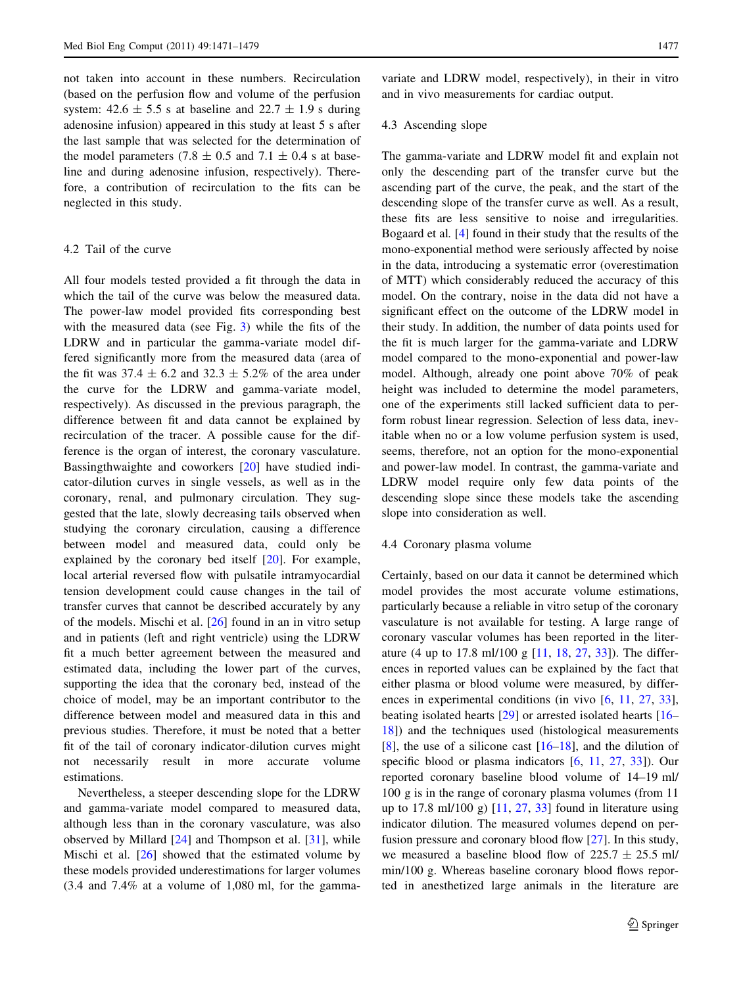not taken into account in these numbers. Recirculation (based on the perfusion flow and volume of the perfusion system:  $42.6 \pm 5.5$  s at baseline and  $22.7 \pm 1.9$  s during adenosine infusion) appeared in this study at least 5 s after the last sample that was selected for the determination of the model parameters (7.8  $\pm$  0.5 and 7.1  $\pm$  0.4 s at baseline and during adenosine infusion, respectively). Therefore, a contribution of recirculation to the fits can be neglected in this study.

## 4.2 Tail of the curve

All four models tested provided a fit through the data in which the tail of the curve was below the measured data. The power-law model provided fits corresponding best with the measured data (see Fig. [3](#page-4-0)) while the fits of the LDRW and in particular the gamma-variate model differed significantly more from the measured data (area of the fit was  $37.4 \pm 6.2$  and  $32.3 \pm 5.2\%$  of the area under the curve for the LDRW and gamma-variate model, respectively). As discussed in the previous paragraph, the difference between fit and data cannot be explained by recirculation of the tracer. A possible cause for the difference is the organ of interest, the coronary vasculature. Bassingthwaighte and coworkers [\[20](#page-8-0)] have studied indicator-dilution curves in single vessels, as well as in the coronary, renal, and pulmonary circulation. They suggested that the late, slowly decreasing tails observed when studying the coronary circulation, causing a difference between model and measured data, could only be explained by the coronary bed itself [[20\]](#page-8-0). For example, local arterial reversed flow with pulsatile intramyocardial tension development could cause changes in the tail of transfer curves that cannot be described accurately by any of the models. Mischi et al. [\[26](#page-8-0)] found in an in vitro setup and in patients (left and right ventricle) using the LDRW fit a much better agreement between the measured and estimated data, including the lower part of the curves, supporting the idea that the coronary bed, instead of the choice of model, may be an important contributor to the difference between model and measured data in this and previous studies. Therefore, it must be noted that a better fit of the tail of coronary indicator-dilution curves might not necessarily result in more accurate volume estimations.

Nevertheless, a steeper descending slope for the LDRW and gamma-variate model compared to measured data, although less than in the coronary vasculature, was also observed by Millard [\[24](#page-8-0)] and Thompson et al. [[31\]](#page-8-0), while Mischi et al. [[26\]](#page-8-0) showed that the estimated volume by these models provided underestimations for larger volumes (3.4 and 7.4% at a volume of 1,080 ml, for the gamma-

variate and LDRW model, respectively), in their in vitro and in vivo measurements for cardiac output.

### 4.3 Ascending slope

The gamma-variate and LDRW model fit and explain not only the descending part of the transfer curve but the ascending part of the curve, the peak, and the start of the descending slope of the transfer curve as well. As a result, these fits are less sensitive to noise and irregularities. Bogaard et al. [\[4\]](#page-7-0) found in their study that the results of the mono-exponential method were seriously affected by noise in the data, introducing a systematic error (overestimation of MTT) which considerably reduced the accuracy of this model. On the contrary, noise in the data did not have a significant effect on the outcome of the LDRW model in their study. In addition, the number of data points used for the fit is much larger for the gamma-variate and LDRW model compared to the mono-exponential and power-law model. Although, already one point above 70% of peak height was included to determine the model parameters, one of the experiments still lacked sufficient data to perform robust linear regression. Selection of less data, inevitable when no or a low volume perfusion system is used, seems, therefore, not an option for the mono-exponential and power-law model. In contrast, the gamma-variate and LDRW model require only few data points of the descending slope since these models take the ascending slope into consideration as well.

### 4.4 Coronary plasma volume

Certainly, based on our data it cannot be determined which model provides the most accurate volume estimations, particularly because a reliable in vitro setup of the coronary vasculature is not available for testing. A large range of coronary vascular volumes has been reported in the literature (4 up to 17.8 ml/100 g [[11,](#page-8-0) [18,](#page-8-0) [27](#page-8-0), [33](#page-8-0)]). The differences in reported values can be explained by the fact that either plasma or blood volume were measured, by differences in experimental conditions (in vivo  $[6, 11, 27, 33]$  $[6, 11, 27, 33]$  $[6, 11, 27, 33]$  $[6, 11, 27, 33]$  $[6, 11, 27, 33]$  $[6, 11, 27, 33]$  $[6, 11, 27, 33]$  $[6, 11, 27, 33]$  $[6, 11, 27, 33]$ , beating isolated hearts [[29\]](#page-8-0) or arrested isolated hearts [\[16](#page-8-0)– [18](#page-8-0)]) and the techniques used (histological measurements [\[8](#page-8-0)], the use of a silicone cast [\[16–18](#page-8-0)], and the dilution of specific blood or plasma indicators [\[6](#page-7-0), [11,](#page-8-0) [27,](#page-8-0) [33](#page-8-0)]). Our reported coronary baseline blood volume of 14–19 ml/ 100 g is in the range of coronary plasma volumes (from 11 up to 17.8 ml/100 g) [[11,](#page-8-0) [27](#page-8-0), [33](#page-8-0)] found in literature using indicator dilution. The measured volumes depend on perfusion pressure and coronary blood flow [[27\]](#page-8-0). In this study, we measured a baseline blood flow of  $225.7 \pm 25.5$  ml/ min/100 g. Whereas baseline coronary blood flows reported in anesthetized large animals in the literature are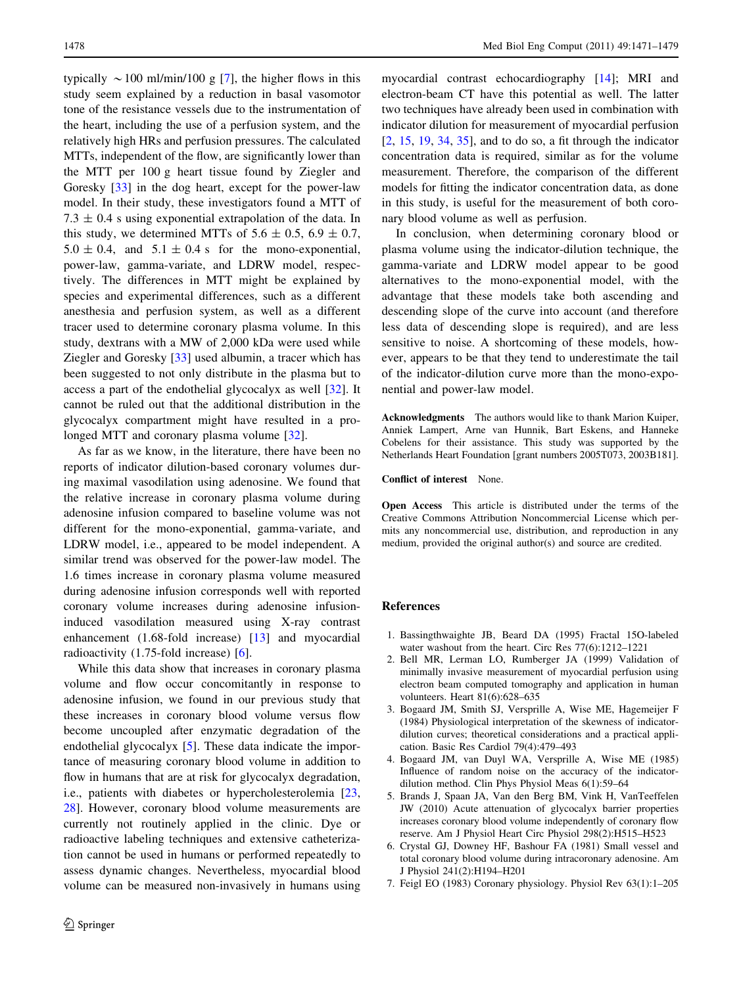<span id="page-7-0"></span>typically  $\sim$  100 ml/min/100 g [7], the higher flows in this study seem explained by a reduction in basal vasomotor tone of the resistance vessels due to the instrumentation of the heart, including the use of a perfusion system, and the relatively high HRs and perfusion pressures. The calculated MTTs, independent of the flow, are significantly lower than the MTT per 100 g heart tissue found by Ziegler and Goresky [\[33](#page-8-0)] in the dog heart, except for the power-law model. In their study, these investigators found a MTT of  $7.3 \pm 0.4$  s using exponential extrapolation of the data. In this study, we determined MTTs of  $5.6 \pm 0.5$ ,  $6.9 \pm 0.7$ ,  $5.0 \pm 0.4$ , and  $5.1 \pm 0.4$  s for the mono-exponential, power-law, gamma-variate, and LDRW model, respectively. The differences in MTT might be explained by species and experimental differences, such as a different anesthesia and perfusion system, as well as a different tracer used to determine coronary plasma volume. In this study, dextrans with a MW of 2,000 kDa were used while Ziegler and Goresky [\[33](#page-8-0)] used albumin, a tracer which has been suggested to not only distribute in the plasma but to access a part of the endothelial glycocalyx as well [[32\]](#page-8-0). It cannot be ruled out that the additional distribution in the glycocalyx compartment might have resulted in a pro-longed MTT and coronary plasma volume [\[32](#page-8-0)].

As far as we know, in the literature, there have been no reports of indicator dilution-based coronary volumes during maximal vasodilation using adenosine. We found that the relative increase in coronary plasma volume during adenosine infusion compared to baseline volume was not different for the mono-exponential, gamma-variate, and LDRW model, i.e., appeared to be model independent. A similar trend was observed for the power-law model. The 1.6 times increase in coronary plasma volume measured during adenosine infusion corresponds well with reported coronary volume increases during adenosine infusioninduced vasodilation measured using X-ray contrast enhancement (1.68-fold increase) [\[13](#page-8-0)] and myocardial radioactivity (1.75-fold increase) [6].

While this data show that increases in coronary plasma volume and flow occur concomitantly in response to adenosine infusion, we found in our previous study that these increases in coronary blood volume versus flow become uncoupled after enzymatic degradation of the endothelial glycocalyx [5]. These data indicate the importance of measuring coronary blood volume in addition to flow in humans that are at risk for glycocalyx degradation, i.e., patients with diabetes or hypercholesterolemia [[23,](#page-8-0) [28](#page-8-0)]. However, coronary blood volume measurements are currently not routinely applied in the clinic. Dye or radioactive labeling techniques and extensive catheterization cannot be used in humans or performed repeatedly to assess dynamic changes. Nevertheless, myocardial blood volume can be measured non-invasively in humans using

myocardial contrast echocardiography [\[14](#page-8-0)]; MRI and electron-beam CT have this potential as well. The latter two techniques have already been used in combination with indicator dilution for measurement of myocardial perfusion [2, [15,](#page-8-0) [19](#page-8-0), [34,](#page-8-0) [35](#page-8-0)], and to do so, a fit through the indicator concentration data is required, similar as for the volume measurement. Therefore, the comparison of the different models for fitting the indicator concentration data, as done in this study, is useful for the measurement of both coronary blood volume as well as perfusion.

In conclusion, when determining coronary blood or plasma volume using the indicator-dilution technique, the gamma-variate and LDRW model appear to be good alternatives to the mono-exponential model, with the advantage that these models take both ascending and descending slope of the curve into account (and therefore less data of descending slope is required), and are less sensitive to noise. A shortcoming of these models, however, appears to be that they tend to underestimate the tail of the indicator-dilution curve more than the mono-exponential and power-law model.

Acknowledgments The authors would like to thank Marion Kuiper, Anniek Lampert, Arne van Hunnik, Bart Eskens, and Hanneke Cobelens for their assistance. This study was supported by the Netherlands Heart Foundation [grant numbers 2005T073, 2003B181].

Conflict of interest None.

Open Access This article is distributed under the terms of the Creative Commons Attribution Noncommercial License which permits any noncommercial use, distribution, and reproduction in any medium, provided the original author(s) and source are credited.

#### References

- 1. Bassingthwaighte JB, Beard DA (1995) Fractal 15O-labeled water washout from the heart. Circ Res 77(6):1212–1221
- 2. Bell MR, Lerman LO, Rumberger JA (1999) Validation of minimally invasive measurement of myocardial perfusion using electron beam computed tomography and application in human volunteers. Heart 81(6):628–635
- 3. Bogaard JM, Smith SJ, Versprille A, Wise ME, Hagemeijer F (1984) Physiological interpretation of the skewness of indicatordilution curves; theoretical considerations and a practical application. Basic Res Cardiol 79(4):479–493
- 4. Bogaard JM, van Duyl WA, Versprille A, Wise ME (1985) Influence of random noise on the accuracy of the indicatordilution method. Clin Phys Physiol Meas 6(1):59–64
- 5. Brands J, Spaan JA, Van den Berg BM, Vink H, VanTeeffelen JW (2010) Acute attenuation of glycocalyx barrier properties increases coronary blood volume independently of coronary flow reserve. Am J Physiol Heart Circ Physiol 298(2):H515–H523
- 6. Crystal GJ, Downey HF, Bashour FA (1981) Small vessel and total coronary blood volume during intracoronary adenosine. Am J Physiol 241(2):H194–H201
- 7. Feigl EO (1983) Coronary physiology. Physiol Rev 63(1):1–205